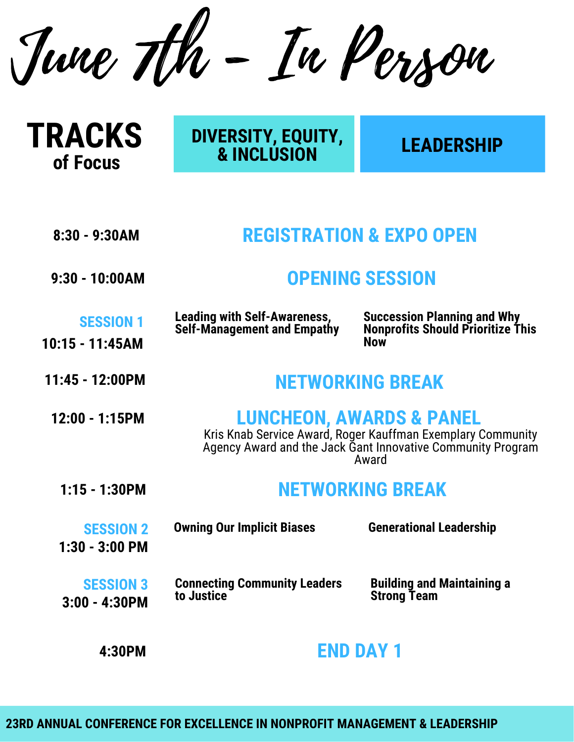June 7th - In Person

| <b>TRACKS</b> |
|---------------|
| of Focus      |

## **DIVERSITY, EQUITY, & INCLUSION**

## **LEADERSHIP**

| <b>REGISTRATION &amp; EXPO OPEN</b><br>8:30 - 9:30AM |
|------------------------------------------------------|
|------------------------------------------------------|

**9:30 - 10:00AM OPENING SESSION**

| <b>SESSION 1</b> | <b>Leading with Self-Awareness,</b><br><b>Self-Management and Empathy</b> |
|------------------|---------------------------------------------------------------------------|
| 10:15 - 11:45AM  |                                                                           |

**Succession Planning and Why Nonprofits Should Prioritize This Now**

## **11:45 - 12:00PM NETWORKING BREAK**

| $12:00 - 1:15$ PM | <b>LUNCHEON, AWARDS &amp; PANEL</b><br>Kris Knab Service Award, Roger Kauffman Exemplary Community<br>Agency Award and the Jack Gant Innovative Community Program<br>Award |
|-------------------|----------------------------------------------------------------------------------------------------------------------------------------------------------------------------|
| $1:15 - 1:30$ PM  | <b>NETWORKING BREAK</b>                                                                                                                                                    |

| <b>SESSION 2</b><br>$1:30 - 3:00$ PM | <b>Owning Our Implicit Biases</b>   | <b>Generational Leadership</b>    |
|--------------------------------------|-------------------------------------|-----------------------------------|
| <b>SESSION 3</b>                     | <b>Connecting Community Leaders</b> | <b>Building and Maintaining a</b> |
| $3:00 - 4:30$ PM                     | to Justice                          | <b>Strong Team</b>                |

**4:30PM END DAY 1**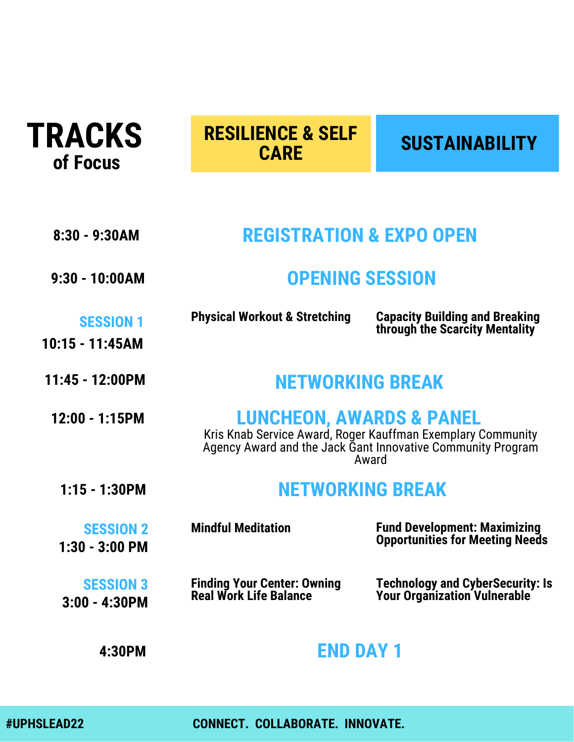

# **SUSTAINABILITY RESILIENCE & SELF CARE**

| $8:30 - 9:30AM$                      | <b>REGISTRATION &amp; EXPO OPEN</b>                                                                                                                                        |                                                                               |
|--------------------------------------|----------------------------------------------------------------------------------------------------------------------------------------------------------------------------|-------------------------------------------------------------------------------|
| $9:30 - 10:00AM$                     | <b>OPENING SESSION</b>                                                                                                                                                     |                                                                               |
| <b>SESSION 1</b><br>10:15 - 11:45AM  | <b>Physical Workout &amp; Stretching</b>                                                                                                                                   | <b>Capacity Building and Breaking</b><br>through the Scarcity Mentality       |
| $11:45 - 12:00PM$                    | <b>NETWORKING BREAK</b>                                                                                                                                                    |                                                                               |
| 12:00 - 1:15PM                       | <b>LUNCHEON, AWARDS &amp; PANEL</b><br>Kris Knab Service Award, Roger Kauffman Exemplary Community<br>Agency Award and the Jack Gant Innovative Community Program<br>Award |                                                                               |
| $1:15 - 1:30PM$                      | <b>NETWORKING BREAK</b>                                                                                                                                                    |                                                                               |
| <b>SESSION 2</b><br>$1:30 - 3:00$ PM | <b>Mindful Meditation</b>                                                                                                                                                  | <b>Fund Development: Maximizing</b><br><b>Opportunities for Meeting Needs</b> |
| <b>SESSION 3</b><br>$3:00 - 4:30$ PM | <b>Finding Your Center: Owning</b><br><b>Real Work Life Balance</b>                                                                                                        | <b>Technology and CyberSecurity: Is</b><br>Your Organization Vulnerable       |
| 4:30PM                               | END DAY '                                                                                                                                                                  |                                                                               |

**#UPHSLEAD22 CONNECT. COLLABORATE. INNOVATE.**